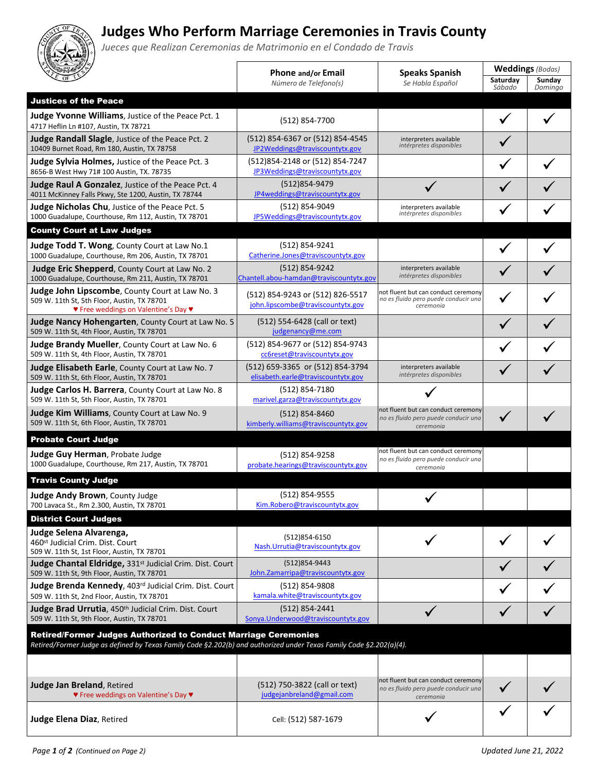## **Judges Who Perform Marriage Ceremonies in Travis County**

*Jueces que Realizan Ceremonias de Matrimonio en el Condado de Travis*

|                                                                                                                                                                                               | <b>Phone and/or Email</b>                                              | <b>Speaks Spanish</b>                                                                    | <b>Weddings</b> (Bodas) |                   |
|-----------------------------------------------------------------------------------------------------------------------------------------------------------------------------------------------|------------------------------------------------------------------------|------------------------------------------------------------------------------------------|-------------------------|-------------------|
|                                                                                                                                                                                               | Número de Telefono(s)                                                  | Se Habla Español                                                                         | Saturday<br>Sábado      | Sunday<br>Domingo |
| <b>Justices of the Peace</b>                                                                                                                                                                  |                                                                        |                                                                                          |                         |                   |
| Judge Yvonne Williams, Justice of the Peace Pct. 1<br>4717 Heflin Ln #107, Austin, TX 78721                                                                                                   | (512) 854-7700                                                         |                                                                                          |                         |                   |
| Judge Randall Slagle, Justice of the Peace Pct. 2<br>10409 Burnet Road, Rm 180, Austin, TX 78758                                                                                              | (512) 854-6367 or (512) 854-4545<br>JP2Weddings@traviscountytx.gov     | interpreters available<br>intérpretes disponibles                                        |                         |                   |
| Judge Sylvia Holmes, Justice of the Peace Pct. 3<br>8656-B West Hwy 71# 100 Austin, TX. 78735                                                                                                 | (512) 854-2148 or (512) 854-7247<br>JP3Weddings@traviscountytx.gov     |                                                                                          |                         |                   |
| Judge Raul A Gonzalez, Justice of the Peace Pct. 4<br>4011 McKinney Falls Pkwy, Ste 1200, Austin, TX 78744                                                                                    | (512)854-9479<br>JP4weddings@traviscountytx.gov                        |                                                                                          |                         |                   |
| Judge Nicholas Chu, Justice of the Peace Pct. 5<br>1000 Guadalupe, Courthouse, Rm 112, Austin, TX 78701                                                                                       | (512) 854-9049<br>JP5Weddings@traviscountytx.gov                       | interpreters available<br>intérpretes disponibles                                        |                         |                   |
| <b>County Court at Law Judges</b>                                                                                                                                                             |                                                                        |                                                                                          |                         |                   |
| Judge Todd T. Wong, County Court at Law No.1<br>1000 Guadalupe, Courthouse, Rm 206, Austin, TX 78701                                                                                          | (512) 854-9241<br>Catherine.Jones@traviscountytx.gov                   |                                                                                          |                         |                   |
| Judge Eric Shepperd, County Court at Law No. 2<br>1000 Guadalupe, Courthouse, Rm 211, Austin, TX 78701                                                                                        | (512) 854-9242<br>Chantell.abou-hamdan@traviscountytx.gov              | interpreters available<br>intérpretes disponibles                                        |                         |                   |
| <b>Judge John Lipscombe, County Court at Law No. 3</b><br>509 W. 11th St, 5th Floor, Austin, TX 78701<br>♥ Free weddings on Valentine's Day ♥                                                 | (512) 854-9243 or (512) 826-5517<br>john.lipscombe@traviscountytx.gov  | not fluent but can conduct ceremony<br>no es fluido pero puede conducir una<br>ceremonia |                         |                   |
| Judge Nancy Hohengarten, County Court at Law No. 5<br>509 W. 11th St, 4th Floor, Austin, TX 78701                                                                                             | (512) 554-6428 (call or text)<br>judgenancy@me.com                     |                                                                                          |                         |                   |
| Judge Brandy Mueller, County Court at Law No. 6<br>509 W. 11th St, 4th Floor, Austin, TX 78701                                                                                                | (512) 854-9677 or (512) 854-9743<br>cc6reset@traviscountytx.gov        |                                                                                          |                         |                   |
| <b>Judge Elisabeth Earle, County Court at Law No. 7</b><br>509 W. 11th St, 6th Floor, Austin, TX 78701                                                                                        | (512) 659-3365 or (512) 854-3794<br>elisabeth.earle@traviscountytx.gov | interpreters available<br>intérpretes disponibles                                        |                         |                   |
| Judge Carlos H. Barrera, County Court at Law No. 8<br>509 W. 11th St, 5th Floor, Austin, TX 78701                                                                                             | (512) 854-7180<br>marivel.garza@traviscountytx.gov                     |                                                                                          |                         |                   |
| Judge Kim Williams, County Court at Law No. 9<br>509 W. 11th St, 6th Floor, Austin, TX 78701                                                                                                  | (512) 854-8460<br>kimberly.williams@traviscountytx.gov                 | not fluent but can conduct ceremony<br>no es fluido pero puede conducir una<br>ceremonia | ✓                       |                   |
| <b>Probate Court Judge</b>                                                                                                                                                                    |                                                                        |                                                                                          |                         |                   |
| Judge Guy Herman, Probate Judge<br>1000 Guadalupe, Courthouse, Rm 217, Austin, TX 78701                                                                                                       | (512) 854-9258<br>probate.hearings@traviscountytx.gov                  | not fluent but can conduct ceremony<br>no es fluido pero puede conducir una<br>ceremonia |                         |                   |
| <b>Travis County Judge</b>                                                                                                                                                                    |                                                                        |                                                                                          |                         |                   |
| Judge Andy Brown, County Judge<br>700 Lavaca St., Rm 2.300, Austin, TX 78701                                                                                                                  | (512) 854-9555<br>Kim.Robero@traviscountytx.gov                        |                                                                                          |                         |                   |
| <b>District Court Judges</b>                                                                                                                                                                  |                                                                        |                                                                                          |                         |                   |
| Judge Selena Alvarenga,<br>460 <sup>st</sup> Judicial Crim. Dist. Court<br>509 W. 11th St, 1st Floor, Austin, TX 78701                                                                        | (512)854-6150<br>Nash.Urrutia@traviscountytx.gov                       |                                                                                          |                         |                   |
| Judge Chantal Eldridge, 331 <sup>st</sup> Judicial Crim. Dist. Court<br>509 W. 11th St, 9th Floor, Austin, TX 78701                                                                           | (512)854-9443<br>John.Zamarripa@traviscountytx.gov                     |                                                                                          |                         |                   |
| Judge Brenda Kennedy, 403rd Judicial Crim. Dist. Court<br>509 W. 11th St, 2nd Floor, Austin, TX 78701                                                                                         | (512) 854-9808<br>kamala.white@traviscountytx.gov                      |                                                                                          |                         |                   |
| Judge Brad Urrutia, 450th Judicial Crim. Dist. Court<br>509 W. 11th St, 9th Floor, Austin, TX 78701                                                                                           | (512) 854-2441<br>Sonya.Underwood@traviscountytx.gov                   |                                                                                          |                         |                   |
| <b>Retired/Former Judges Authorized to Conduct Marriage Ceremonies</b><br>Retired/Former Judge as defined by Texas Family Code §2.202(b) and authorized under Texas Family Code §2.202(a)(4). |                                                                        |                                                                                          |                         |                   |
|                                                                                                                                                                                               |                                                                        |                                                                                          |                         |                   |
| Judge Jan Breland, Retired<br>♥ Free weddings on Valentine's Day ♥                                                                                                                            | (512) 750-3822 (call or text)<br>judgejanbreland@gmail.com             | not fluent but can conduct ceremony<br>no es fluido pero puede conducir una<br>ceremonia |                         |                   |
| <b>Judge Elena Diaz, Retired</b>                                                                                                                                                              | Cell: (512) 587-1679                                                   |                                                                                          |                         |                   |